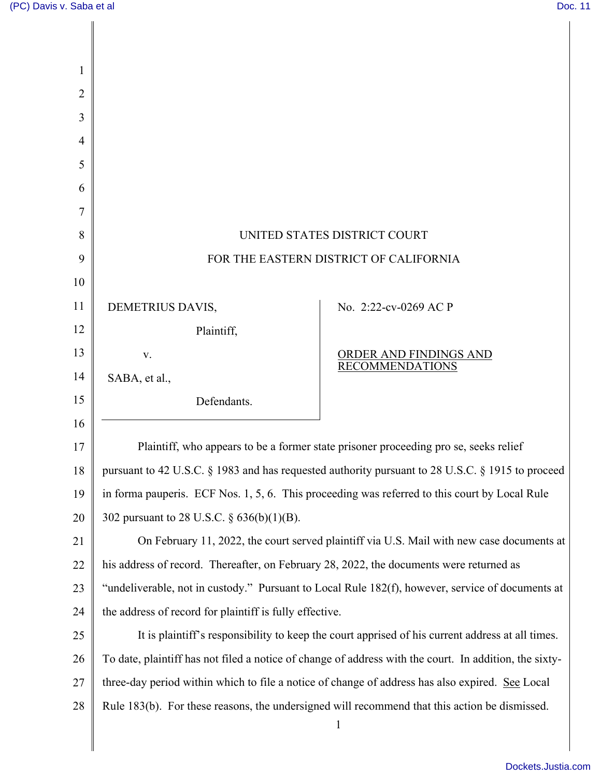$\Big\|$ 

| 1              |                                                                                                        |                                        |  |
|----------------|--------------------------------------------------------------------------------------------------------|----------------------------------------|--|
| $\overline{2}$ |                                                                                                        |                                        |  |
| 3              |                                                                                                        |                                        |  |
| 4              |                                                                                                        |                                        |  |
| 5              |                                                                                                        |                                        |  |
| 6              |                                                                                                        |                                        |  |
| 7              |                                                                                                        |                                        |  |
| 8              | UNITED STATES DISTRICT COURT                                                                           |                                        |  |
| 9              | FOR THE EASTERN DISTRICT OF CALIFORNIA                                                                 |                                        |  |
| 10             |                                                                                                        |                                        |  |
| 11             | DEMETRIUS DAVIS,                                                                                       | No. 2:22-cv-0269 AC P                  |  |
| 12             | Plaintiff,                                                                                             |                                        |  |
| 13             | V.                                                                                                     | ORDER AND FINDINGS AND RECOMMENDATIONS |  |
| 14             | SABA, et al.,                                                                                          |                                        |  |
| 15             | Defendants.                                                                                            |                                        |  |
| 16             |                                                                                                        |                                        |  |
| 17             | Plaintiff, who appears to be a former state prisoner proceeding pro se, seeks relief                   |                                        |  |
| 18             | pursuant to 42 U.S.C. § 1983 and has requested authority pursuant to 28 U.S.C. § 1915 to proceed       |                                        |  |
| 19             | in forma pauperis. ECF Nos. 1, 5, 6. This proceeding was referred to this court by Local Rule          |                                        |  |
| 20             | 302 pursuant to 28 U.S.C. § 636(b)(1)(B).                                                              |                                        |  |
| 21             | On February 11, 2022, the court served plaintiff via U.S. Mail with new case documents at              |                                        |  |
| 22             | his address of record. Thereafter, on February 28, 2022, the documents were returned as                |                                        |  |
| 23             | "undeliverable, not in custody." Pursuant to Local Rule 182(f), however, service of documents at       |                                        |  |
| 24             | the address of record for plaintiff is fully effective.                                                |                                        |  |
| 25             | It is plaintiff's responsibility to keep the court apprised of his current address at all times.       |                                        |  |
| 26             | To date, plaintiff has not filed a notice of change of address with the court. In addition, the sixty- |                                        |  |
| 27             | three-day period within which to file a notice of change of address has also expired. See Local        |                                        |  |
| $28\,$         | Rule 183(b). For these reasons, the undersigned will recommend that this action be dismissed.          |                                        |  |
|                |                                                                                                        | $\mathbf{1}$                           |  |